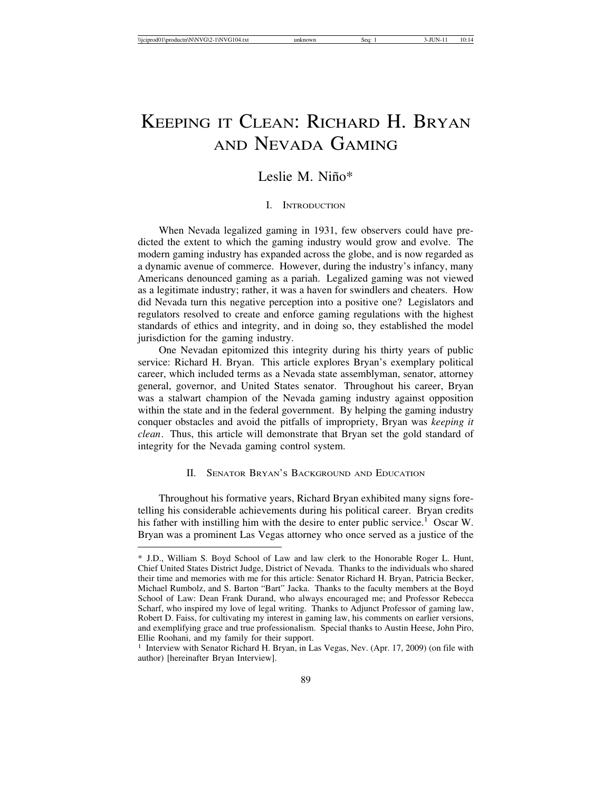# KEEPING IT CLEAN: RICHARD H. BRYAN AND NEVADA GAMING

# Leslie M. Niño\*

#### I. INTRODUCTION

When Nevada legalized gaming in 1931, few observers could have predicted the extent to which the gaming industry would grow and evolve. The modern gaming industry has expanded across the globe, and is now regarded as a dynamic avenue of commerce. However, during the industry's infancy, many Americans denounced gaming as a pariah. Legalized gaming was not viewed as a legitimate industry; rather, it was a haven for swindlers and cheaters. How did Nevada turn this negative perception into a positive one? Legislators and regulators resolved to create and enforce gaming regulations with the highest standards of ethics and integrity, and in doing so, they established the model jurisdiction for the gaming industry.

One Nevadan epitomized this integrity during his thirty years of public service: Richard H. Bryan. This article explores Bryan's exemplary political career, which included terms as a Nevada state assemblyman, senator, attorney general, governor, and United States senator. Throughout his career, Bryan was a stalwart champion of the Nevada gaming industry against opposition within the state and in the federal government. By helping the gaming industry conquer obstacles and avoid the pitfalls of impropriety, Bryan was *keeping it clean*. Thus, this article will demonstrate that Bryan set the gold standard of integrity for the Nevada gaming control system.

#### II. SENATOR BRYAN'S BACKGROUND AND EDUCATION

Throughout his formative years, Richard Bryan exhibited many signs foretelling his considerable achievements during his political career. Bryan credits his father with instilling him with the desire to enter public service.<sup>1</sup> Oscar W. Bryan was a prominent Las Vegas attorney who once served as a justice of the

<sup>\*</sup> J.D., William S. Boyd School of Law and law clerk to the Honorable Roger L. Hunt, Chief United States District Judge, District of Nevada. Thanks to the individuals who shared their time and memories with me for this article: Senator Richard H. Bryan, Patricia Becker, Michael Rumbolz, and S. Barton "Bart" Jacka. Thanks to the faculty members at the Boyd School of Law: Dean Frank Durand, who always encouraged me; and Professor Rebecca Scharf, who inspired my love of legal writing. Thanks to Adjunct Professor of gaming law, Robert D. Faiss, for cultivating my interest in gaming law, his comments on earlier versions, and exemplifying grace and true professionalism. Special thanks to Austin Heese, John Piro, Ellie Roohani, and my family for their support.

<sup>&</sup>lt;sup>1</sup> Interview with Senator Richard H. Bryan, in Las Vegas, Nev. (Apr. 17, 2009) (on file with author) [hereinafter Bryan Interview].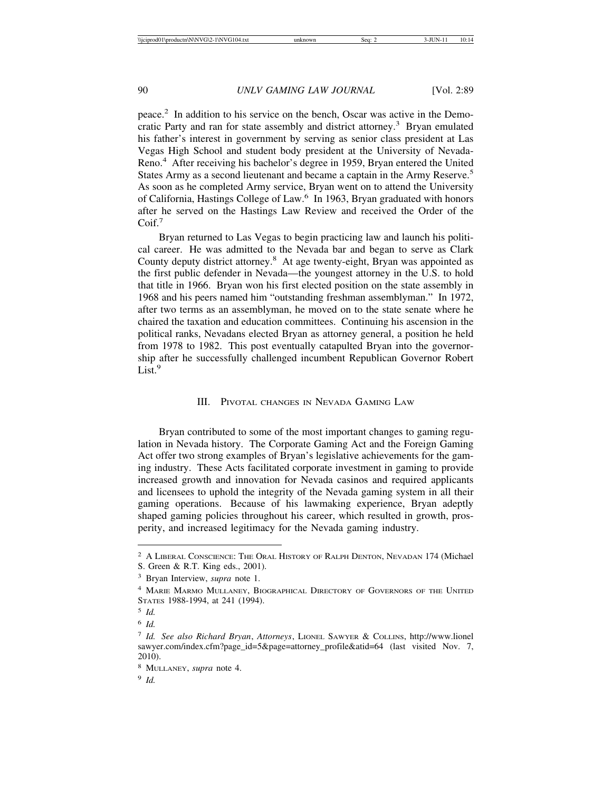peace.2 In addition to his service on the bench, Oscar was active in the Democratic Party and ran for state assembly and district attorney.<sup>3</sup> Bryan emulated his father's interest in government by serving as senior class president at Las Vegas High School and student body president at the University of Nevada-Reno.4 After receiving his bachelor's degree in 1959, Bryan entered the United States Army as a second lieutenant and became a captain in the Army Reserve.<sup>5</sup> As soon as he completed Army service, Bryan went on to attend the University of California, Hastings College of Law.6 In 1963, Bryan graduated with honors after he served on the Hastings Law Review and received the Order of the Coif.<sup>7</sup>

Bryan returned to Las Vegas to begin practicing law and launch his political career. He was admitted to the Nevada bar and began to serve as Clark County deputy district attorney.8 At age twenty-eight, Bryan was appointed as the first public defender in Nevada—the youngest attorney in the U.S. to hold that title in 1966. Bryan won his first elected position on the state assembly in 1968 and his peers named him "outstanding freshman assemblyman." In 1972, after two terms as an assemblyman, he moved on to the state senate where he chaired the taxation and education committees. Continuing his ascension in the political ranks, Nevadans elected Bryan as attorney general, a position he held from 1978 to 1982. This post eventually catapulted Bryan into the governorship after he successfully challenged incumbent Republican Governor Robert List.<sup>9</sup>

#### III. PIVOTAL CHANGES IN NEVADA GAMING LAW

Bryan contributed to some of the most important changes to gaming regulation in Nevada history. The Corporate Gaming Act and the Foreign Gaming Act offer two strong examples of Bryan's legislative achievements for the gaming industry. These Acts facilitated corporate investment in gaming to provide increased growth and innovation for Nevada casinos and required applicants and licensees to uphold the integrity of the Nevada gaming system in all their gaming operations. Because of his lawmaking experience, Bryan adeptly shaped gaming policies throughout his career, which resulted in growth, prosperity, and increased legitimacy for the Nevada gaming industry.

<sup>&</sup>lt;sup>2</sup> A LIBERAL CONSCIENCE: THE ORAL HISTORY OF RALPH DENTON, NEVADAN 174 (Michael

S. Green & R.T. King eds., 2001).

<sup>3</sup> Bryan Interview, *supra* note 1.

<sup>4</sup> MARIE MARMO MULLANEY, BIOGRAPHICAL DIRECTORY OF GOVERNORS OF THE UNITED STATES 1988-1994, at 241 (1994).

<sup>5</sup> *Id.*

<sup>6</sup> *Id.*

<sup>7</sup> *Id. See also Richard Bryan*, *Attorneys*, LIONEL SAWYER & COLLINS, http://www.lionel sawyer.com/index.cfm?page\_id=5&page=attorney\_profile&atid=64 (last visited Nov. 7, 2010).

<sup>8</sup> MULLANEY, *supra* note 4.

<sup>9</sup> *Id.*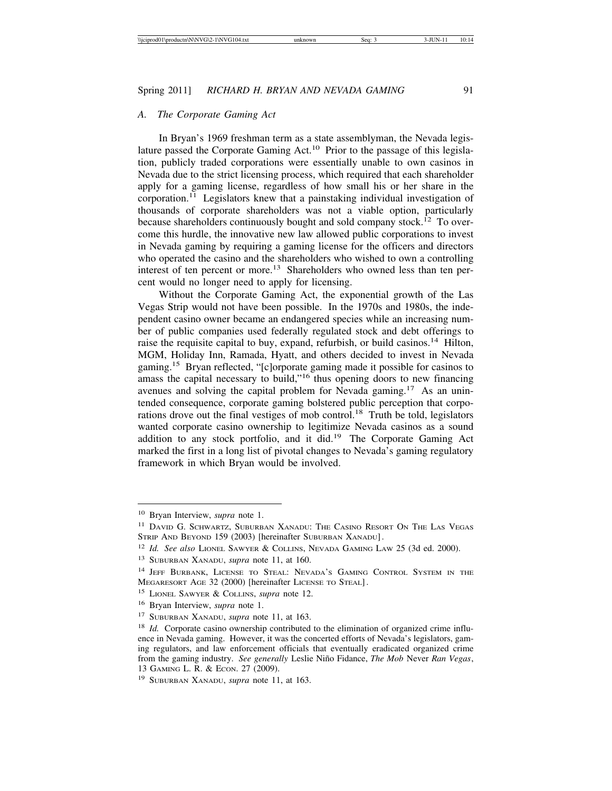#### *A. The Corporate Gaming Act*

In Bryan's 1969 freshman term as a state assemblyman, the Nevada legislature passed the Corporate Gaming  $Act<sup>10</sup>$  Prior to the passage of this legislation, publicly traded corporations were essentially unable to own casinos in Nevada due to the strict licensing process, which required that each shareholder apply for a gaming license, regardless of how small his or her share in the corporation.<sup>11</sup> Legislators knew that a painstaking individual investigation of thousands of corporate shareholders was not a viable option, particularly because shareholders continuously bought and sold company stock.<sup>12</sup> To overcome this hurdle, the innovative new law allowed public corporations to invest in Nevada gaming by requiring a gaming license for the officers and directors who operated the casino and the shareholders who wished to own a controlling interest of ten percent or more.<sup>13</sup> Shareholders who owned less than ten percent would no longer need to apply for licensing.

Without the Corporate Gaming Act, the exponential growth of the Las Vegas Strip would not have been possible. In the 1970s and 1980s, the independent casino owner became an endangered species while an increasing number of public companies used federally regulated stock and debt offerings to raise the requisite capital to buy, expand, refurbish, or build casinos.<sup>14</sup> Hilton, MGM, Holiday Inn, Ramada, Hyatt, and others decided to invest in Nevada gaming.15 Bryan reflected, "[c]orporate gaming made it possible for casinos to amass the capital necessary to build,"16 thus opening doors to new financing avenues and solving the capital problem for Nevada gaming.17 As an unintended consequence, corporate gaming bolstered public perception that corporations drove out the final vestiges of mob control.<sup>18</sup> Truth be told, legislators wanted corporate casino ownership to legitimize Nevada casinos as a sound addition to any stock portfolio, and it did.<sup>19</sup> The Corporate Gaming Act marked the first in a long list of pivotal changes to Nevada's gaming regulatory framework in which Bryan would be involved.

<sup>10</sup> Bryan Interview, *supra* note 1.

<sup>&</sup>lt;sup>11</sup> DAVID G. SCHWARTZ, SUBURBAN XANADU: THE CASINO RESORT ON THE LAS VEGAS STRIP AND BEYOND 159 (2003) [hereinafter SUBURBAN XANADU].

<sup>12</sup> *Id. See also* LIONEL SAWYER & COLLINS, NEVADA GAMING LAW 25 (3d ed. 2000).

<sup>13</sup> SUBURBAN XANADU, *supra* note 11, at 160.

<sup>&</sup>lt;sup>14</sup> JEFF BURBANK, LICENSE TO STEAL: NEVADA'S GAMING CONTROL SYSTEM IN THE MEGARESORT AGE 32 (2000) [hereinafter LICENSE TO STEAL].

<sup>15</sup> LIONEL SAWYER & COLLINS, *supra* note 12.

<sup>16</sup> Bryan Interview, *supra* note 1.

<sup>17</sup> SUBURBAN XANADU, *supra* note 11, at 163.

<sup>&</sup>lt;sup>18</sup> *Id.* Corporate casino ownership contributed to the elimination of organized crime influence in Nevada gaming. However, it was the concerted efforts of Nevada's legislators, gaming regulators, and law enforcement officials that eventually eradicated organized crime from the gaming industry. *See generally* Leslie Niño Fidance, *The Mob* Never Ran Vegas, 13 GAMING L. R. & ECON. 27 (2009).

<sup>19</sup> SUBURBAN XANADU, *supra* note 11, at 163.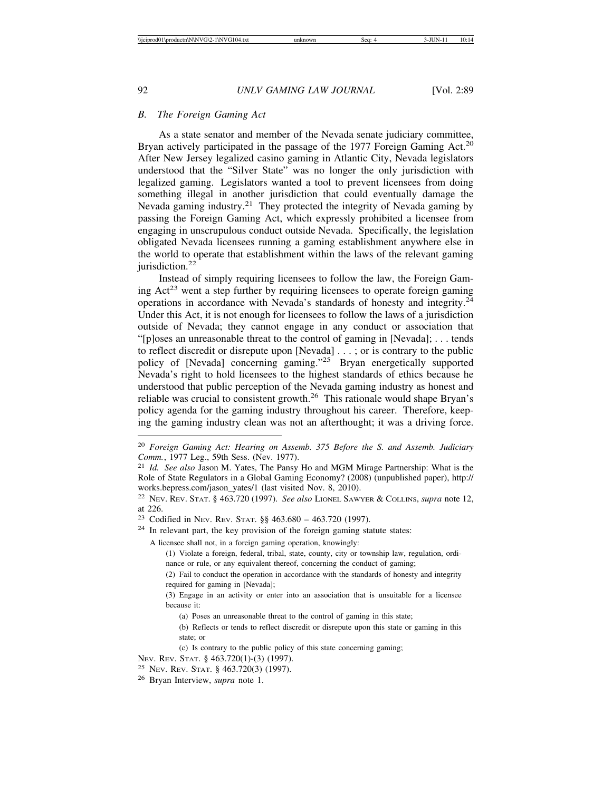#### *B. The Foreign Gaming Act*

As a state senator and member of the Nevada senate judiciary committee, Bryan actively participated in the passage of the 1977 Foreign Gaming Act.<sup>20</sup> After New Jersey legalized casino gaming in Atlantic City, Nevada legislators understood that the "Silver State" was no longer the only jurisdiction with legalized gaming. Legislators wanted a tool to prevent licensees from doing something illegal in another jurisdiction that could eventually damage the Nevada gaming industry.<sup>21</sup> They protected the integrity of Nevada gaming by passing the Foreign Gaming Act, which expressly prohibited a licensee from engaging in unscrupulous conduct outside Nevada. Specifically, the legislation obligated Nevada licensees running a gaming establishment anywhere else in the world to operate that establishment within the laws of the relevant gaming iurisdiction. $22$ 

Instead of simply requiring licensees to follow the law, the Foreign Gaming  $Act^{23}$  went a step further by requiring licensees to operate foreign gaming operations in accordance with Nevada's standards of honesty and integrity.<sup>24</sup> Under this Act, it is not enough for licensees to follow the laws of a jurisdiction outside of Nevada; they cannot engage in any conduct or association that "[p]oses an unreasonable threat to the control of gaming in [Nevada]; . . . tends to reflect discredit or disrepute upon [Nevada] . . . ; or is contrary to the public policy of [Nevada] concerning gaming."25 Bryan energetically supported Nevada's right to hold licensees to the highest standards of ethics because he understood that public perception of the Nevada gaming industry as honest and reliable was crucial to consistent growth.<sup>26</sup> This rationale would shape Bryan's policy agenda for the gaming industry throughout his career. Therefore, keeping the gaming industry clean was not an afterthought; it was a driving force.

A licensee shall not, in a foreign gaming operation, knowingly:

<sup>20</sup> *Foreign Gaming Act: Hearing on Assemb. 375 Before the S. and Assemb. Judiciary Comm.*, 1977 Leg., 59th Sess. (Nev. 1977).

<sup>21</sup> *Id. See also* Jason M. Yates, The Pansy Ho and MGM Mirage Partnership: What is the Role of State Regulators in a Global Gaming Economy? (2008) (unpublished paper), http:// works.bepress.com/jason\_yates/1 (last visited Nov. 8, 2010).

<sup>22</sup> NEV. REV. STAT. § 463.720 (1997). *See also* LIONEL SAWYER & COLLINS, *supra* note 12, at 226.

<sup>&</sup>lt;sup>23</sup> Codified in Nev. Rev. Stat.  $\S$ § 463.680 – 463.720 (1997).

 $24$  In relevant part, the key provision of the foreign gaming statute states:

<sup>(1)</sup> Violate a foreign, federal, tribal, state, county, city or township law, regulation, ordinance or rule, or any equivalent thereof, concerning the conduct of gaming;

<sup>(2)</sup> Fail to conduct the operation in accordance with the standards of honesty and integrity required for gaming in [Nevada];

<sup>(3)</sup> Engage in an activity or enter into an association that is unsuitable for a licensee because it:

<sup>(</sup>a) Poses an unreasonable threat to the control of gaming in this state;

<sup>(</sup>b) Reflects or tends to reflect discredit or disrepute upon this state or gaming in this state; or

<sup>(</sup>c) Is contrary to the public policy of this state concerning gaming;

NEV. REV. STAT. § 463.720(1)-(3) (1997).

<sup>25</sup> NEV. REV. STAT. § 463.720(3) (1997).

<sup>26</sup> Bryan Interview, *supra* note 1.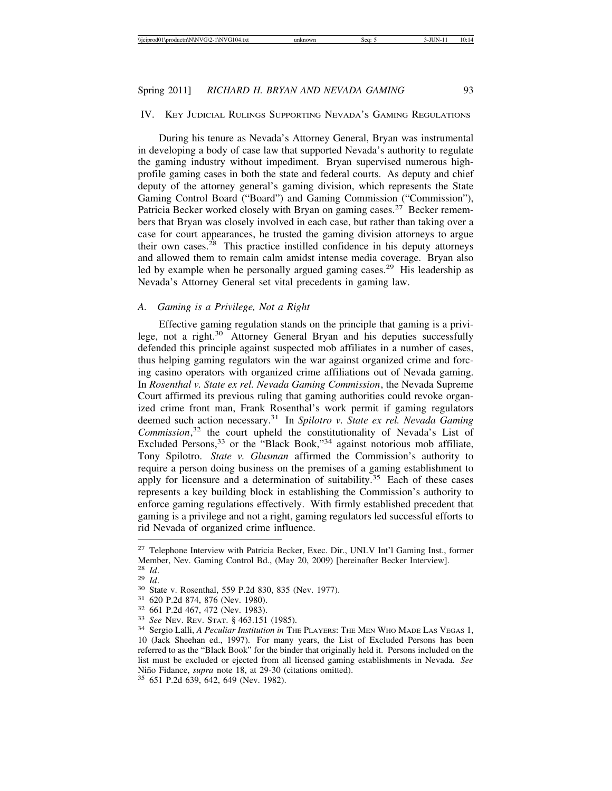#### IV. KEY JUDICIAL RULINGS SUPPORTING NEVADA'S GAMING REGULATIONS

During his tenure as Nevada's Attorney General, Bryan was instrumental in developing a body of case law that supported Nevada's authority to regulate the gaming industry without impediment. Bryan supervised numerous highprofile gaming cases in both the state and federal courts. As deputy and chief deputy of the attorney general's gaming division, which represents the State Gaming Control Board ("Board") and Gaming Commission ("Commission"), Patricia Becker worked closely with Bryan on gaming cases.<sup>27</sup> Becker remembers that Bryan was closely involved in each case, but rather than taking over a case for court appearances, he trusted the gaming division attorneys to argue their own cases.28 This practice instilled confidence in his deputy attorneys and allowed them to remain calm amidst intense media coverage. Bryan also led by example when he personally argued gaming cases.<sup>29</sup> His leadership as Nevada's Attorney General set vital precedents in gaming law.

# *A. Gaming is a Privilege, Not a Right*

Effective gaming regulation stands on the principle that gaming is a privilege, not a right.30 Attorney General Bryan and his deputies successfully defended this principle against suspected mob affiliates in a number of cases, thus helping gaming regulators win the war against organized crime and forcing casino operators with organized crime affiliations out of Nevada gaming. In *Rosenthal v. State ex rel. Nevada Gaming Commission*, the Nevada Supreme Court affirmed its previous ruling that gaming authorities could revoke organized crime front man, Frank Rosenthal's work permit if gaming regulators deemed such action necessary.31 In *Spilotro v. State ex rel. Nevada Gaming Commission*, 32 the court upheld the constitutionality of Nevada's List of Excluded Persons,  $33$  or the "Black Book,"  $34$  against notorious mob affiliate, Tony Spilotro. *State v. Glusman* affirmed the Commission's authority to require a person doing business on the premises of a gaming establishment to apply for licensure and a determination of suitability.<sup>35</sup> Each of these cases represents a key building block in establishing the Commission's authority to enforce gaming regulations effectively. With firmly established precedent that gaming is a privilege and not a right, gaming regulators led successful efforts to rid Nevada of organized crime influence.

<sup>&</sup>lt;sup>27</sup> Telephone Interview with Patricia Becker, Exec. Dir., UNLV Int'l Gaming Inst., former Member, Nev. Gaming Control Bd., (May 20, 2009) [hereinafter Becker Interview]. <sup>28</sup> *Id.* 

<sup>&</sup>lt;sup>29</sup> *Id.*<br><sup>30</sup> State v. Rosenthal, 559 P.2d 830, 835 (Nev. 1977).<br><sup>31</sup> 620 P.2d 874, 876 (Nev. 1980).<br><sup>32</sup> 661 P.2d 467, 472 (Nev. 1983).<br><sup>33</sup> *See* Nev. Rev. Stat. § 463.151 (1985).<br><sup>34</sup> Sergio Lalli, *A Peculiar Instit* 10 (Jack Sheehan ed., 1997). For many years, the List of Excluded Persons has been referred to as the "Black Book" for the binder that originally held it. Persons included on the list must be excluded or ejected from all licensed gaming establishments in Nevada. *See* Niño Fidance, *supra* note 18, at 29-30 (citations omitted). <sup>35</sup> 651 P.2d 639, 642, 649 (Nev. 1982).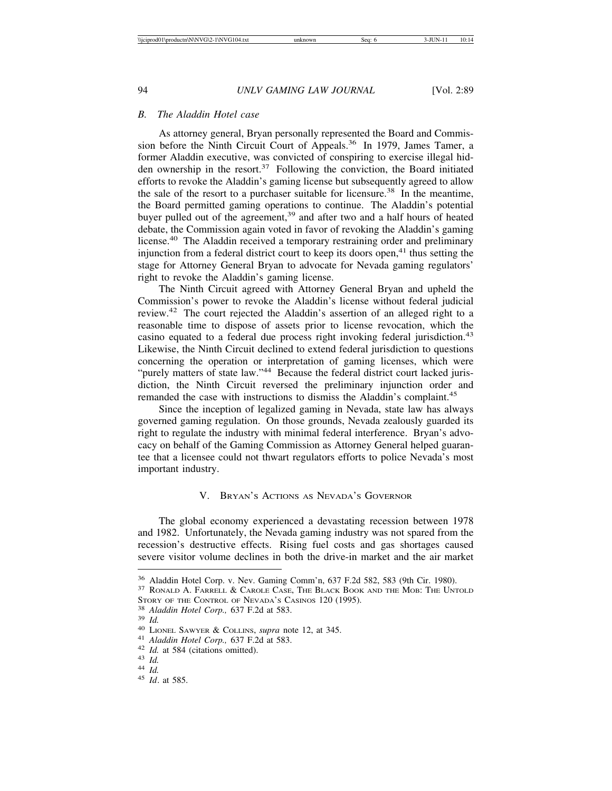#### *B. The Aladdin Hotel case*

As attorney general, Bryan personally represented the Board and Commission before the Ninth Circuit Court of Appeals.<sup>36</sup> In 1979, James Tamer, a former Aladdin executive, was convicted of conspiring to exercise illegal hidden ownership in the resort.<sup>37</sup> Following the conviction, the Board initiated efforts to revoke the Aladdin's gaming license but subsequently agreed to allow the sale of the resort to a purchaser suitable for licensure.<sup>38</sup> In the meantime, the Board permitted gaming operations to continue. The Aladdin's potential buyer pulled out of the agreement,<sup>39</sup> and after two and a half hours of heated debate, the Commission again voted in favor of revoking the Aladdin's gaming license.40 The Aladdin received a temporary restraining order and preliminary injunction from a federal district court to keep its doors open, $41$  thus setting the stage for Attorney General Bryan to advocate for Nevada gaming regulators' right to revoke the Aladdin's gaming license.

The Ninth Circuit agreed with Attorney General Bryan and upheld the Commission's power to revoke the Aladdin's license without federal judicial review.42 The court rejected the Aladdin's assertion of an alleged right to a reasonable time to dispose of assets prior to license revocation, which the casino equated to a federal due process right invoking federal jurisdiction.<sup>43</sup> Likewise, the Ninth Circuit declined to extend federal jurisdiction to questions concerning the operation or interpretation of gaming licenses, which were "purely matters of state law."<sup>44</sup> Because the federal district court lacked jurisdiction, the Ninth Circuit reversed the preliminary injunction order and remanded the case with instructions to dismiss the Aladdin's complaint.<sup>45</sup>

Since the inception of legalized gaming in Nevada, state law has always governed gaming regulation. On those grounds, Nevada zealously guarded its right to regulate the industry with minimal federal interference. Bryan's advocacy on behalf of the Gaming Commission as Attorney General helped guarantee that a licensee could not thwart regulators efforts to police Nevada's most important industry.

#### V. BRYAN'S ACTIONS AS NEVADA'S GOVERNOR

The global economy experienced a devastating recession between 1978 and 1982. Unfortunately, the Nevada gaming industry was not spared from the recession's destructive effects. Rising fuel costs and gas shortages caused severe visitor volume declines in both the drive-in market and the air market

<sup>&</sup>lt;sup>36</sup> Aladdin Hotel Corp. v. Nev. Gaming Comm'n, 637 F.2d 582, 583 (9th Cir. 1980).<br><sup>37</sup> RONALD A. FARRELL & CAROLE CASE, THE BLACK BOOK AND THE MOB: THE UNTOLD STORY OF THE CONTROL OF NEVADA'S CASINOS 120 (1995).<br>
<sup>38</sup> Aladdin Hotel Corp., 637 F.2d at 583.<br>
<sup>39</sup> Id.<br>
<sup>40</sup> LIONEL SAWYER & COLLINS, *supra* note 12, at 345.<br>
<sup>41</sup> Aladdin Hotel Corp., 637 F.2d at 583.<br>
<sup>42</sup> Id. at 5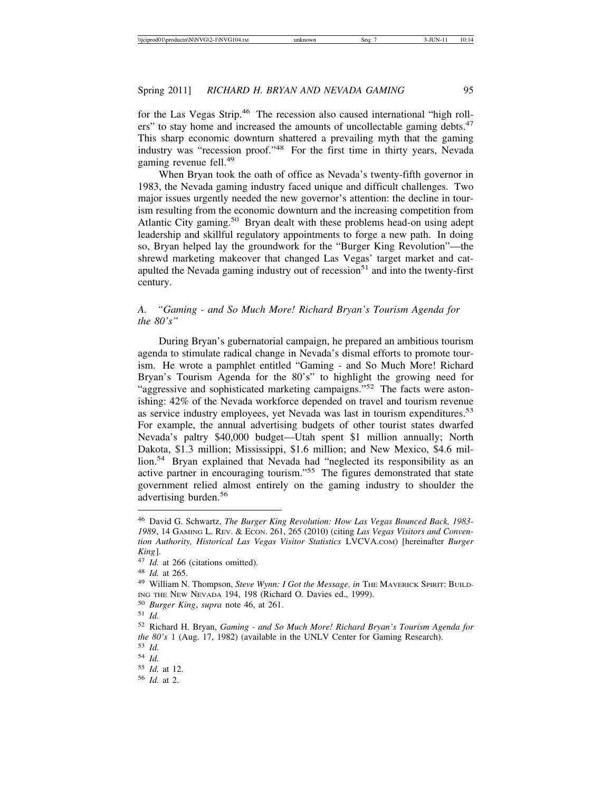for the Las Vegas Strip.<sup>46</sup> The recession also caused international "high rollers" to stay home and increased the amounts of uncollectable gaming debts.<sup>47</sup> This sharp economic downturn shattered a prevailing myth that the gaming industry was "recession proof."48 For the first time in thirty years, Nevada gaming revenue fell.<sup>49</sup>

When Bryan took the oath of office as Nevada's twenty-fifth governor in 1983, the Nevada gaming industry faced unique and difficult challenges. Two major issues urgently needed the new governor's attention: the decline in tourism resulting from the economic downturn and the increasing competition from Atlantic City gaming.<sup>50</sup> Bryan dealt with these problems head-on using adept leadership and skillful regulatory appointments to forge a new path. In doing so, Bryan helped lay the groundwork for the "Burger King Revolution"—the shrewd marketing makeover that changed Las Vegas' target market and catapulted the Nevada gaming industry out of recession<sup>51</sup> and into the twenty-first century.

# *A. "Gaming - and So Much More! Richard Bryan's Tourism Agenda for the 80's"*

During Bryan's gubernatorial campaign, he prepared an ambitious tourism agenda to stimulate radical change in Nevada's dismal efforts to promote tourism. He wrote a pamphlet entitled "Gaming - and So Much More! Richard Bryan's Tourism Agenda for the 80's" to highlight the growing need for "aggressive and sophisticated marketing campaigns."<sup>52</sup> The facts were astonishing: 42% of the Nevada workforce depended on travel and tourism revenue as service industry employees, yet Nevada was last in tourism expenditures.<sup>53</sup> For example, the annual advertising budgets of other tourist states dwarfed Nevada's paltry \$40,000 budget—Utah spent \$1 million annually; North Dakota, \$1.3 million; Mississippi, \$1.6 million; and New Mexico, \$4.6 million.<sup>54</sup> Bryan explained that Nevada had "neglected its responsibility as an active partner in encouraging tourism."55 The figures demonstrated that state government relied almost entirely on the gaming industry to shoulder the advertising burden.<sup>56</sup>

<sup>46</sup> David G. Schwartz, *The Burger King Revolution: How Las Vegas Bounced Back, 1983- 1989*, 14 GAMING L. REV. & ECON. 261, 265 (2010) (citing *Las Vegas Visitors and Convention Authority, Historical Las Vegas Visitor Statistics* LVCVA.COM) [hereinafter *Burger King*].

<sup>47</sup> *Id.* at 266 (citations omitted).

<sup>48</sup> *Id.* at 265.

<sup>&</sup>lt;sup>49</sup> William N. Thompson, *Steve Wynn: I Got the Message, in* THE MAVERICK SPIRIT: BUILD-ING THE NEW NEVADA 194, 198 (Richard O. Davies ed., 1999).

<sup>50</sup> *Burger King*, *supra* note 46, at 261.

<sup>51</sup> *Id.*

<sup>52</sup> Richard H. Bryan, *Gaming - and So Much More! Richard Bryan's Tourism Agenda for the 80's* 1 (Aug. 17, 1982) (available in the UNLV Center for Gaming Research).

<sup>53</sup> *Id.*

<sup>54</sup> *Id.*

<sup>55</sup> *Id.* at 12.

<sup>56</sup> *Id.* at 2.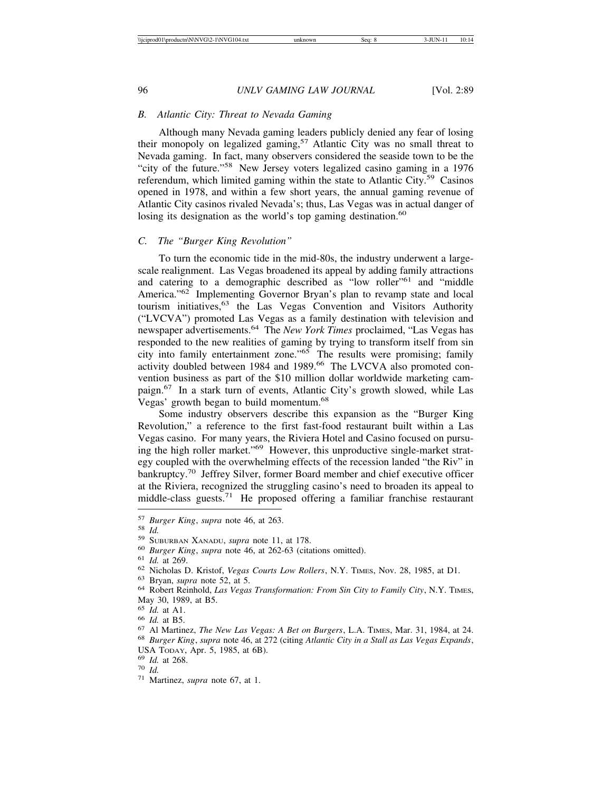#### *B. Atlantic City: Threat to Nevada Gaming*

Although many Nevada gaming leaders publicly denied any fear of losing their monopoly on legalized gaming,<sup>57</sup> Atlantic City was no small threat to Nevada gaming. In fact, many observers considered the seaside town to be the "city of the future."58 New Jersey voters legalized casino gaming in a 1976 referendum, which limited gaming within the state to Atlantic City.<sup>59</sup> Casinos opened in 1978, and within a few short years, the annual gaming revenue of Atlantic City casinos rivaled Nevada's; thus, Las Vegas was in actual danger of losing its designation as the world's top gaming destination.<sup>60</sup>

#### *C. The "Burger King Revolution"*

To turn the economic tide in the mid-80s, the industry underwent a largescale realignment. Las Vegas broadened its appeal by adding family attractions and catering to a demographic described as "low roller"<sup>61</sup> and "middle" America."62 Implementing Governor Bryan's plan to revamp state and local tourism initiatives,<sup>63</sup> the Las Vegas Convention and Visitors Authority ("LVCVA") promoted Las Vegas as a family destination with television and newspaper advertisements.64 The *New York Times* proclaimed, "Las Vegas has responded to the new realities of gaming by trying to transform itself from sin city into family entertainment zone."65 The results were promising; family activity doubled between 1984 and 1989.<sup>66</sup> The LVCVA also promoted convention business as part of the \$10 million dollar worldwide marketing campaign.67 In a stark turn of events, Atlantic City's growth slowed, while Las Vegas' growth began to build momentum.<sup>68</sup>

Some industry observers describe this expansion as the "Burger King Revolution," a reference to the first fast-food restaurant built within a Las Vegas casino. For many years, the Riviera Hotel and Casino focused on pursuing the high roller market."69 However, this unproductive single-market strategy coupled with the overwhelming effects of the recession landed "the Riv" in bankruptcy.70 Jeffrey Silver, former Board member and chief executive officer at the Riviera, recognized the struggling casino's need to broaden its appeal to middle-class guests.<sup>71</sup> He proposed offering a familiar franchise restaurant

USA TODAY, Apr. 5, 1985, at 6B). <sup>69</sup> *Id.* at 268. <sup>70</sup> *Id.* <sup>71</sup> Martinez, *supra* note 67, at 1.

<sup>&</sup>lt;sup>57</sup> Burger King, supra note 46, at 263.<br><sup>58</sup> Id.<br><sup>59</sup> SUBURBAN XANADU, supra note 11, at 178.<br><sup>60</sup> Burger King, supra note 46, at 262-63 (citations omitted).<br><sup>61</sup> Id. at 269.<br><sup>62</sup> Nicholas D. Kristof, *Vegas Courts Low R* 

May 30, 1989, at B5.<br><sup>65</sup> *Id.* at A1.

<sup>&</sup>lt;sup>66</sup> *Id.* at B5.<br><sup>67</sup> Al Martinez, *The New Las Vegas: A Bet on Burgers*, L.A. TIMES, Mar. 31, 1984, at 24.<br><sup>68</sup> *Burger King, supra* note 46, at 272 (citing *Atlantic City in a Stall as Las Vegas Expands*,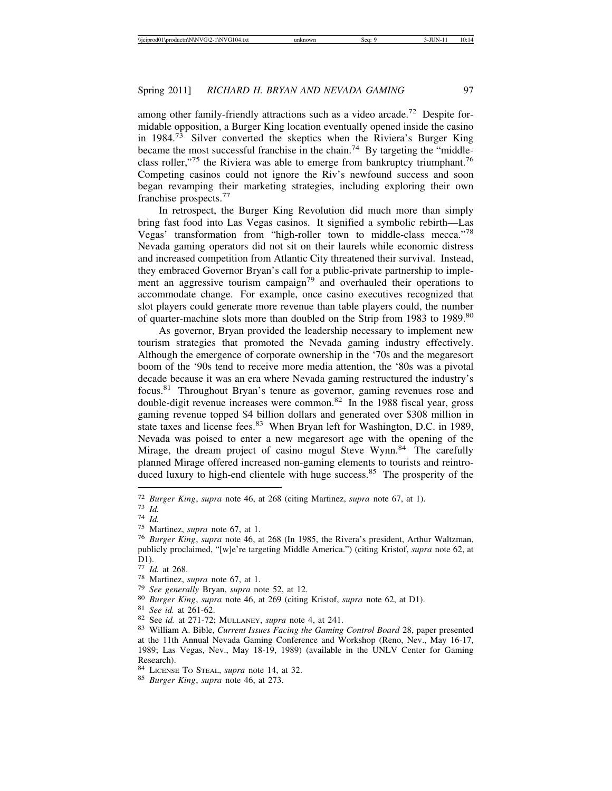among other family-friendly attractions such as a video arcade.<sup>72</sup> Despite formidable opposition, a Burger King location eventually opened inside the casino in 1984.73 Silver converted the skeptics when the Riviera's Burger King became the most successful franchise in the chain.<sup>74</sup> By targeting the "middleclass roller,"<sup>75</sup> the Riviera was able to emerge from bankruptcy triumphant.<sup>76</sup> Competing casinos could not ignore the Riv's newfound success and soon began revamping their marketing strategies, including exploring their own franchise prospects.<sup>77</sup>

In retrospect, the Burger King Revolution did much more than simply bring fast food into Las Vegas casinos. It signified a symbolic rebirth—Las Vegas' transformation from "high-roller town to middle-class mecca."<sup>78</sup> Nevada gaming operators did not sit on their laurels while economic distress and increased competition from Atlantic City threatened their survival. Instead, they embraced Governor Bryan's call for a public-private partnership to implement an aggressive tourism campaign<sup>79</sup> and overhauled their operations to accommodate change. For example, once casino executives recognized that slot players could generate more revenue than table players could, the number of quarter-machine slots more than doubled on the Strip from 1983 to 1989.<sup>80</sup>

As governor, Bryan provided the leadership necessary to implement new tourism strategies that promoted the Nevada gaming industry effectively. Although the emergence of corporate ownership in the '70s and the megaresort boom of the '90s tend to receive more media attention, the '80s was a pivotal decade because it was an era where Nevada gaming restructured the industry's focus.81 Throughout Bryan's tenure as governor, gaming revenues rose and double-digit revenue increases were common.82 In the 1988 fiscal year, gross gaming revenue topped \$4 billion dollars and generated over \$308 million in state taxes and license fees.<sup>83</sup> When Bryan left for Washington, D.C. in 1989, Nevada was poised to enter a new megaresort age with the opening of the Mirage, the dream project of casino mogul Steve Wynn.<sup>84</sup> The carefully planned Mirage offered increased non-gaming elements to tourists and reintroduced luxury to high-end clientele with huge success.<sup>85</sup> The prosperity of the

<sup>&</sup>lt;sup>72</sup> Burger King, supra note 46, at 268 (citing Martinez, supra note 67, at 1).<br><sup>73</sup> Id.<br><sup>74</sup> Id.<br><sup>75</sup> Martinez, supra note 67, at 1.<br><sup>75</sup> Martinez, supra note 67, at 1.<br><sup>76</sup> Burger King, supra note 46, at 268 (In 1985, t publicly proclaimed, "[w]e're targeting Middle America.") (citing Kristof, *supra* note 62, at D1).<br> $^{77}$  *Id.* at 268.

<sup>&</sup>lt;sup>78</sup> Martinez, *supra* note 67, at 1.<br>
<sup>79</sup> See generally Bryan, *supra* note 52, at 12.<br>
<sup>80</sup> Burger King, *supra* note 46, at 269 (citing Kristof, *supra* note 62, at D1).<br>
<sup>81</sup> See id. at 261-62.<br>
<sup>82</sup> See id. at 271-7 at the 11th Annual Nevada Gaming Conference and Workshop (Reno, Nev., May 16-17, 1989; Las Vegas, Nev., May 18-19, 1989) (available in the UNLV Center for Gaming Research).<br><sup>84</sup> LICENSE TO STEAL, *supra* note 14, at 32.

<sup>&</sup>lt;sup>85</sup> Burger King, *supra* note 46, at 273.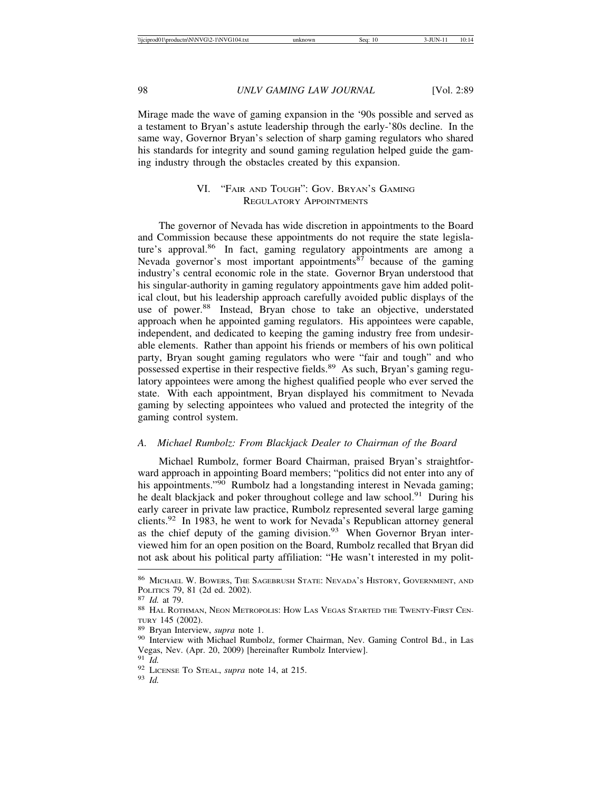Mirage made the wave of gaming expansion in the '90s possible and served as a testament to Bryan's astute leadership through the early-'80s decline. In the same way, Governor Bryan's selection of sharp gaming regulators who shared his standards for integrity and sound gaming regulation helped guide the gaming industry through the obstacles created by this expansion.

# VI. "FAIR AND TOUGH": GOV. BRYAN'S GAMING REGULATORY APPOINTMENTS

The governor of Nevada has wide discretion in appointments to the Board and Commission because these appointments do not require the state legislature's approval.<sup>86</sup> In fact, gaming regulatory appointments are among a Nevada governor's most important appointments $87$  because of the gaming industry's central economic role in the state. Governor Bryan understood that his singular-authority in gaming regulatory appointments gave him added political clout, but his leadership approach carefully avoided public displays of the use of power.<sup>88</sup> Instead, Bryan chose to take an objective, understated approach when he appointed gaming regulators. His appointees were capable, independent, and dedicated to keeping the gaming industry free from undesirable elements. Rather than appoint his friends or members of his own political party, Bryan sought gaming regulators who were "fair and tough" and who possessed expertise in their respective fields.<sup>89</sup> As such, Bryan's gaming regulatory appointees were among the highest qualified people who ever served the state. With each appointment, Bryan displayed his commitment to Nevada gaming by selecting appointees who valued and protected the integrity of the gaming control system.

#### *A. Michael Rumbolz: From Blackjack Dealer to Chairman of the Board*

Michael Rumbolz, former Board Chairman, praised Bryan's straightforward approach in appointing Board members; "politics did not enter into any of his appointments."<sup>90</sup> Rumbolz had a longstanding interest in Nevada gaming; he dealt blackjack and poker throughout college and law school.<sup>91</sup> During his early career in private law practice, Rumbolz represented several large gaming clients.92 In 1983, he went to work for Nevada's Republican attorney general as the chief deputy of the gaming division. $93$  When Governor Bryan interviewed him for an open position on the Board, Rumbolz recalled that Bryan did not ask about his political party affiliation: "He wasn't interested in my polit-

<sup>86</sup> MICHAEL W. BOWERS, THE SAGEBRUSH STATE: NEVADA'S HISTORY, GOVERNMENT, AND

POLITICS 79, 81 (2d ed. 2002).<br><sup>87</sup> *Id.* at 79.<br><sup>88</sup> Hal Rothman, Neon Metropolis: How Las Vegas Started the Twenty-First Cen-<br>tury 145 (2002).

<sup>&</sup>lt;sup>89</sup> Bryan Interview, *supra* note 1.<br><sup>90</sup> Interview with Michael Rumbolz, former Chairman, Nev. Gaming Control Bd., in Las Vegas, Nev. (Apr. 20, 2009) [hereinafter Rumbolz Interview]. <sup>91</sup> *Id.* 

<sup>91</sup> *Id.* <sup>92</sup> LICENSE TO STEAL, *supra* note 14, at 215. <sup>93</sup> *Id.*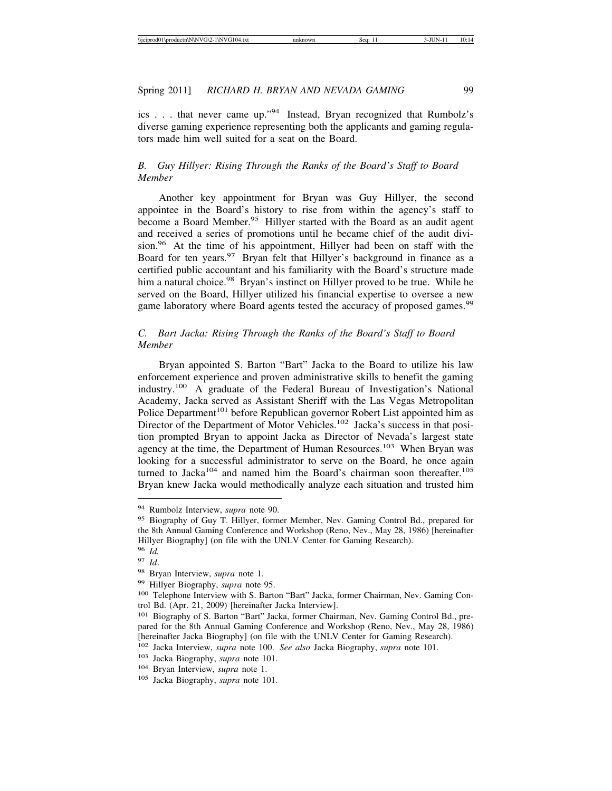ics . . . that never came up."94 Instead, Bryan recognized that Rumbolz's diverse gaming experience representing both the applicants and gaming regulators made him well suited for a seat on the Board.

# *B. Guy Hillyer: Rising Through the Ranks of the Board's Staff to Board Member*

Another key appointment for Bryan was Guy Hillyer, the second appointee in the Board's history to rise from within the agency's staff to become a Board Member.<sup>95</sup> Hillyer started with the Board as an audit agent and received a series of promotions until he became chief of the audit division.<sup>96</sup> At the time of his appointment, Hillyer had been on staff with the Board for ten years.<sup>97</sup> Bryan felt that Hillyer's background in finance as a certified public accountant and his familiarity with the Board's structure made him a natural choice.<sup>98</sup> Bryan's instinct on Hillyer proved to be true. While he served on the Board, Hillyer utilized his financial expertise to oversee a new game laboratory where Board agents tested the accuracy of proposed games.<sup>99</sup>

# *C. Bart Jacka: Rising Through the Ranks of the Board's Staff to Board Member*

Bryan appointed S. Barton "Bart" Jacka to the Board to utilize his law enforcement experience and proven administrative skills to benefit the gaming industry.100 A graduate of the Federal Bureau of Investigation's National Academy, Jacka served as Assistant Sheriff with the Las Vegas Metropolitan Police Department<sup>101</sup> before Republican governor Robert List appointed him as Director of the Department of Motor Vehicles.<sup>102</sup> Jacka's success in that position prompted Bryan to appoint Jacka as Director of Nevada's largest state agency at the time, the Department of Human Resources.<sup>103</sup> When Bryan was looking for a successful administrator to serve on the Board, he once again turned to Jacka<sup>104</sup> and named him the Board's chairman soon thereafter.<sup>105</sup> Bryan knew Jacka would methodically analyze each situation and trusted him

<sup>94</sup> Rumbolz Interview, *supra* note 90.

<sup>&</sup>lt;sup>95</sup> Biography of Guy T. Hillyer, former Member, Nev. Gaming Control Bd., prepared for the 8th Annual Gaming Conference and Workshop (Reno, Nev., May 28, 1986) [hereinafter Hillyer Biography] (on file with the UNLV Center for Gaming Research).

<sup>96</sup> *Id.*

<sup>97</sup> *Id*.

<sup>98</sup> Bryan Interview, *supra* note 1.

<sup>99</sup> Hillyer Biography, *supra* note 95.

<sup>100</sup> Telephone Interview with S. Barton "Bart" Jacka, former Chairman, Nev. Gaming Control Bd. (Apr. 21, 2009) [hereinafter Jacka Interview].

<sup>101</sup> Biography of S. Barton "Bart" Jacka, former Chairman, Nev. Gaming Control Bd., prepared for the 8th Annual Gaming Conference and Workshop (Reno, Nev., May 28, 1986) [hereinafter Jacka Biography] (on file with the UNLV Center for Gaming Research).

<sup>102</sup> Jacka Interview, *supra* note 100. *See also* Jacka Biography, *supra* note 101.

<sup>103</sup> Jacka Biography, *supra* note 101.

<sup>104</sup> Bryan Interview, *supra* note 1.

<sup>105</sup> Jacka Biography, *supra* note 101.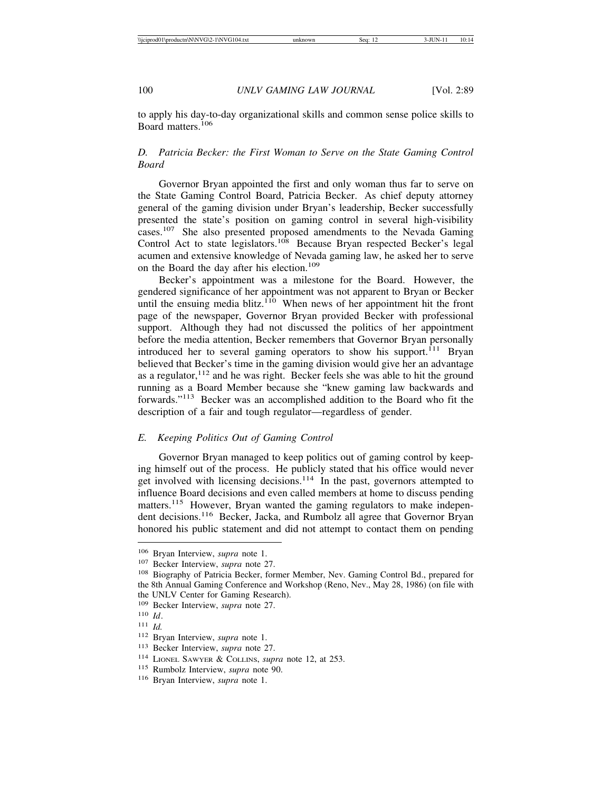to apply his day-to-day organizational skills and common sense police skills to Board matters.<sup>106</sup>

# *D. Patricia Becker: the First Woman to Serve on the State Gaming Control Board*

Governor Bryan appointed the first and only woman thus far to serve on the State Gaming Control Board, Patricia Becker. As chief deputy attorney general of the gaming division under Bryan's leadership, Becker successfully presented the state's position on gaming control in several high-visibility cases.107 She also presented proposed amendments to the Nevada Gaming Control Act to state legislators.<sup>108</sup> Because Bryan respected Becker's legal acumen and extensive knowledge of Nevada gaming law, he asked her to serve on the Board the day after his election.<sup>109</sup>

Becker's appointment was a milestone for the Board. However, the gendered significance of her appointment was not apparent to Bryan or Becker until the ensuing media blitz. $110$  When news of her appointment hit the front page of the newspaper, Governor Bryan provided Becker with professional support. Although they had not discussed the politics of her appointment before the media attention, Becker remembers that Governor Bryan personally introduced her to several gaming operators to show his support.<sup>111</sup> Bryan believed that Becker's time in the gaming division would give her an advantage as a regulator,  $112$  and he was right. Becker feels she was able to hit the ground running as a Board Member because she "knew gaming law backwards and forwards."113 Becker was an accomplished addition to the Board who fit the description of a fair and tough regulator—regardless of gender.

#### *E. Keeping Politics Out of Gaming Control*

Governor Bryan managed to keep politics out of gaming control by keeping himself out of the process. He publicly stated that his office would never get involved with licensing decisions. $114$  In the past, governors attempted to influence Board decisions and even called members at home to discuss pending matters.<sup>115</sup> However, Bryan wanted the gaming regulators to make independent decisions.116 Becker, Jacka, and Rumbolz all agree that Governor Bryan honored his public statement and did not attempt to contact them on pending

<sup>106</sup> Bryan Interview, *supra* note 1.

<sup>107</sup> Becker Interview, *supra* note 27.

<sup>108</sup> Biography of Patricia Becker, former Member, Nev. Gaming Control Bd., prepared for the 8th Annual Gaming Conference and Workshop (Reno, Nev., May 28, 1986) (on file with the UNLV Center for Gaming Research).

<sup>109</sup> Becker Interview, *supra* note 27.

<sup>110</sup> *Id*.

<sup>111</sup> *Id.*

<sup>112</sup> Bryan Interview, *supra* note 1.

<sup>113</sup> Becker Interview, *supra* note 27.

<sup>114</sup> LIONEL SAWYER & COLLINS, *supra* note 12, at 253.

<sup>115</sup> Rumbolz Interview, *supra* note 90.

<sup>116</sup> Bryan Interview, *supra* note 1.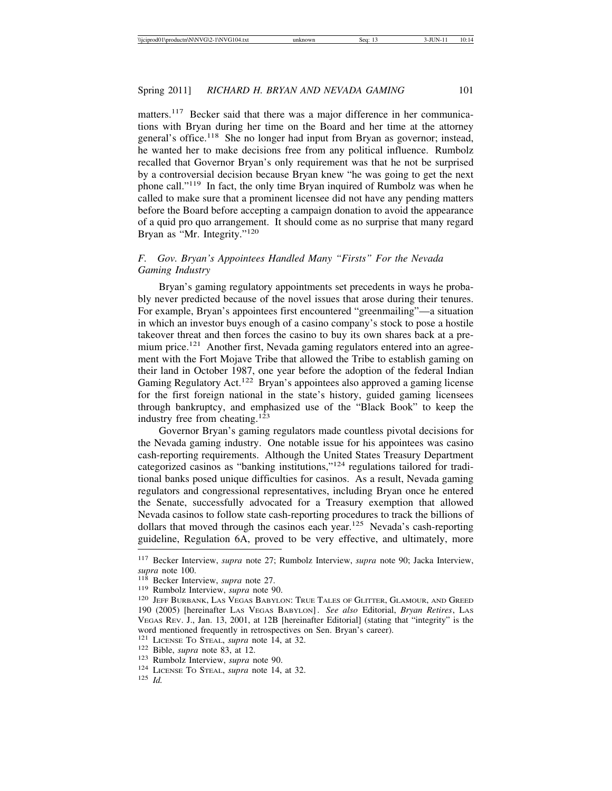matters.<sup>117</sup> Becker said that there was a major difference in her communications with Bryan during her time on the Board and her time at the attorney general's office.<sup>118</sup> She no longer had input from Bryan as governor; instead, he wanted her to make decisions free from any political influence. Rumbolz recalled that Governor Bryan's only requirement was that he not be surprised by a controversial decision because Bryan knew "he was going to get the next phone call."119 In fact, the only time Bryan inquired of Rumbolz was when he called to make sure that a prominent licensee did not have any pending matters before the Board before accepting a campaign donation to avoid the appearance of a quid pro quo arrangement. It should come as no surprise that many regard Bryan as "Mr. Integrity."<sup>120</sup>

# *F. Gov. Bryan's Appointees Handled Many "Firsts" For the Nevada Gaming Industry*

Bryan's gaming regulatory appointments set precedents in ways he probably never predicted because of the novel issues that arose during their tenures. For example, Bryan's appointees first encountered "greenmailing"—a situation in which an investor buys enough of a casino company's stock to pose a hostile takeover threat and then forces the casino to buy its own shares back at a premium price.<sup>121</sup> Another first, Nevada gaming regulators entered into an agreement with the Fort Mojave Tribe that allowed the Tribe to establish gaming on their land in October 1987, one year before the adoption of the federal Indian Gaming Regulatory Act.<sup>122</sup> Bryan's appointees also approved a gaming license for the first foreign national in the state's history, guided gaming licensees through bankruptcy, and emphasized use of the "Black Book" to keep the industry free from cheating.<sup>123</sup>

Governor Bryan's gaming regulators made countless pivotal decisions for the Nevada gaming industry. One notable issue for his appointees was casino cash-reporting requirements. Although the United States Treasury Department categorized casinos as "banking institutions,"124 regulations tailored for traditional banks posed unique difficulties for casinos. As a result, Nevada gaming regulators and congressional representatives, including Bryan once he entered the Senate, successfully advocated for a Treasury exemption that allowed Nevada casinos to follow state cash-reporting procedures to track the billions of dollars that moved through the casinos each year.<sup>125</sup> Nevada's cash-reporting guideline, Regulation 6A, proved to be very effective, and ultimately, more

<sup>117</sup> Becker Interview, *supra* note 27; Rumbolz Interview, *supra* note 90; Jacka Interview,

<sup>&</sup>lt;sup>118</sup> Becker Interview, *supra* note 27.<br><sup>119</sup> Rumbolz Interview, *supra* note 90.<br><sup>120</sup> JEFF BURBANK, LAS VEGAS BABYLON: TRUE TALES OF GLITTER, GLAMOUR, AND GREED 190 (2005) [hereinafter LAS VEGAS BABYLON]. *See also* Editorial, *Bryan Retires*, LAS VEGAS REV. J., Jan. 13, 2001, at 12B [hereinafter Editorial] (stating that "integrity" is the word mentioned frequently in retrospectives on Sen. Bryan's career). <sup>121</sup> LICENSE TO STEAL, *supra* note 14, at 32.

<sup>121</sup> LICENSE TO STEAL, *supra* note 14, at 32. <sup>122</sup> Bible, *supra* note 83, at 12. <sup>123</sup> Rumbolz Interview, *supra* note 90. <sup>124</sup> LICENSE TO STEAL, *supra* note 14, at 32. <sup>125</sup> *Id.*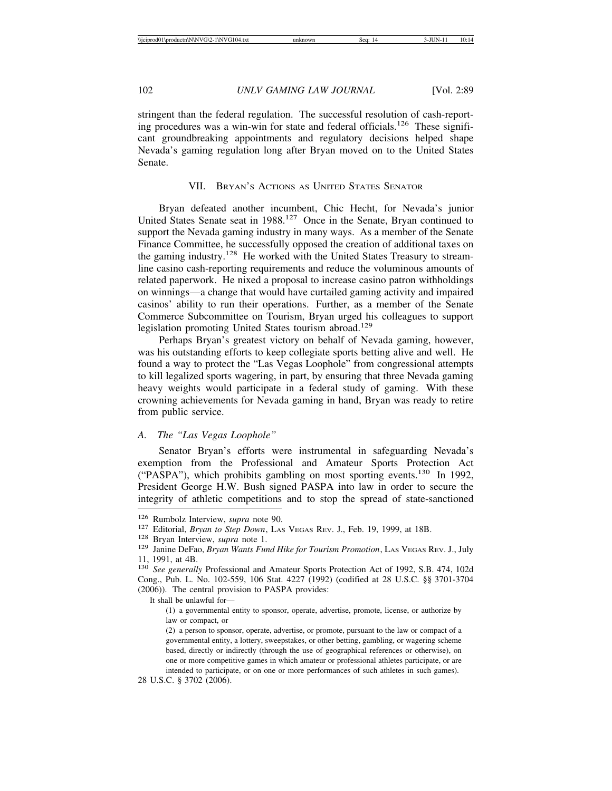stringent than the federal regulation. The successful resolution of cash-reporting procedures was a win-win for state and federal officials.<sup>126</sup> These significant groundbreaking appointments and regulatory decisions helped shape Nevada's gaming regulation long after Bryan moved on to the United States Senate.

#### VII. BRYAN'S ACTIONS AS UNITED STATES SENATOR

Bryan defeated another incumbent, Chic Hecht, for Nevada's junior United States Senate seat in 1988.127 Once in the Senate, Bryan continued to support the Nevada gaming industry in many ways. As a member of the Senate Finance Committee, he successfully opposed the creation of additional taxes on the gaming industry.<sup>128</sup> He worked with the United States Treasury to streamline casino cash-reporting requirements and reduce the voluminous amounts of related paperwork. He nixed a proposal to increase casino patron withholdings on winnings—a change that would have curtailed gaming activity and impaired casinos' ability to run their operations. Further, as a member of the Senate Commerce Subcommittee on Tourism, Bryan urged his colleagues to support legislation promoting United States tourism abroad.<sup>129</sup>

Perhaps Bryan's greatest victory on behalf of Nevada gaming, however, was his outstanding efforts to keep collegiate sports betting alive and well. He found a way to protect the "Las Vegas Loophole" from congressional attempts to kill legalized sports wagering, in part, by ensuring that three Nevada gaming heavy weights would participate in a federal study of gaming. With these crowning achievements for Nevada gaming in hand, Bryan was ready to retire from public service.

#### *A. The "Las Vegas Loophole"*

Senator Bryan's efforts were instrumental in safeguarding Nevada's exemption from the Professional and Amateur Sports Protection Act ("PASPA"), which prohibits gambling on most sporting events.130 In 1992, President George H.W. Bush signed PASPA into law in order to secure the integrity of athletic competitions and to stop the spread of state-sanctioned

<sup>&</sup>lt;sup>126</sup> Rumbolz Interview, *supra* note 90.<br><sup>127</sup> Editorial, *Bryan to Step Down*, Las VEGAS REV. J., Feb. 19, 1999, at 18B.<br><sup>128</sup> Bryan Interview, *supra* note 1.<br><sup>129</sup> Janine DeFao, *Bryan Wants Fund Hike for Tourism Prom* 11, 1991, at 4B.

<sup>130</sup> *See generally* Professional and Amateur Sports Protection Act of 1992, S.B. 474, 102d Cong., Pub. L. No. 102-559, 106 Stat. 4227 (1992) (codified at 28 U.S.C. §§ 3701-3704 (2006)). The central provision to PASPA provides:

It shall be unlawful for—

<sup>(1)</sup> a governmental entity to sponsor, operate, advertise, promote, license, or authorize by law or compact, or

<sup>(2)</sup> a person to sponsor, operate, advertise, or promote, pursuant to the law or compact of a governmental entity, a lottery, sweepstakes, or other betting, gambling, or wagering scheme based, directly or indirectly (through the use of geographical references or otherwise), on one or more competitive games in which amateur or professional athletes participate, or are intended to participate, or on one or more performances of such athletes in such games).

<sup>28</sup> U.S.C. § 3702 (2006).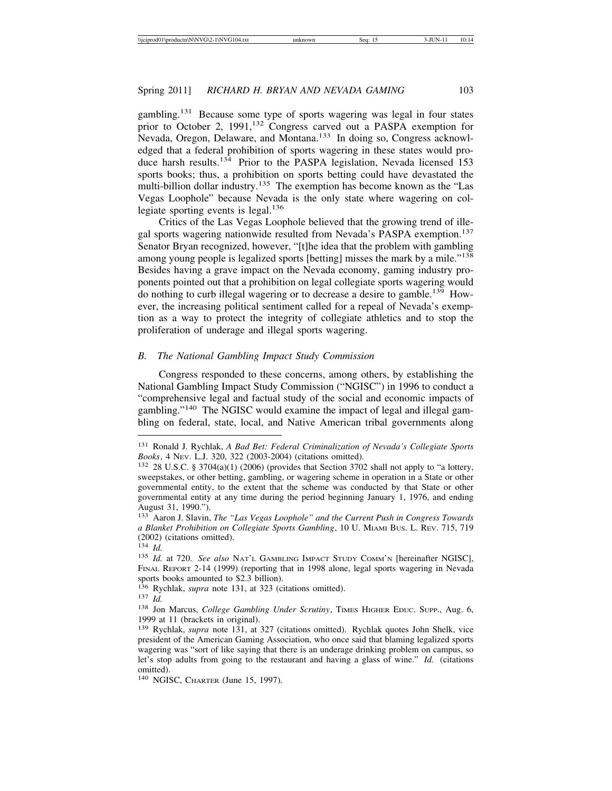gambling.131 Because some type of sports wagering was legal in four states prior to October 2, 1991,<sup>132</sup> Congress carved out a PASPA exemption for Nevada, Oregon, Delaware, and Montana.<sup>133</sup> In doing so, Congress acknowledged that a federal prohibition of sports wagering in these states would produce harsh results.<sup>134</sup> Prior to the PASPA legislation, Nevada licensed 153 sports books; thus, a prohibition on sports betting could have devastated the multi-billion dollar industry.<sup>135</sup> The exemption has become known as the "Las Vegas Loophole" because Nevada is the only state where wagering on collegiate sporting events is legal.<sup>136</sup>

Critics of the Las Vegas Loophole believed that the growing trend of illegal sports wagering nationwide resulted from Nevada's PASPA exemption.<sup>137</sup> Senator Bryan recognized, however, "[t]he idea that the problem with gambling among young people is legalized sports [betting] misses the mark by a mile."<sup>138</sup> Besides having a grave impact on the Nevada economy, gaming industry proponents pointed out that a prohibition on legal collegiate sports wagering would do nothing to curb illegal wagering or to decrease a desire to gamble.139 However, the increasing political sentiment called for a repeal of Nevada's exemption as a way to protect the integrity of collegiate athletics and to stop the proliferation of underage and illegal sports wagering.

#### *B. The National Gambling Impact Study Commission*

Congress responded to these concerns, among others, by establishing the National Gambling Impact Study Commission ("NGISC") in 1996 to conduct a "comprehensive legal and factual study of the social and economic impacts of gambling."140 The NGISC would examine the impact of legal and illegal gambling on federal, state, local, and Native American tribal governments along

<sup>131</sup> Ronald J. Rychlak, *A Bad Bet: Federal Criminalization of Nevada's Collegiate Sports Books*, 4 NEV. L.J. 320, 322 (2003-2004) (citations omitted).

<sup>132</sup> 28 U.S.C. § 3704(a)(1) (2006) (provides that Section 3702 shall not apply to "a lottery, sweepstakes, or other betting, gambling, or wagering scheme in operation in a State or other governmental entity, to the extent that the scheme was conducted by that State or other governmental entity at any time during the period beginning January 1, 1976, and ending August 31, 1990.").

<sup>133</sup> Aaron J. Slavin, *The "Las Vegas Loophole" and the Current Push in Congress Towards a Blanket Prohibition on Collegiate Sports Gambling*, 10 U. MIAMI BUS. L. REV. 715, 719 (2002) (citations omitted).

<sup>134</sup> *Id.*

<sup>135</sup> *Id.* at 720. *See also* NAT'L GAMBLING IMPACT STUDY COMM'N [hereinafter NGISC], FINAL REPORT 2-14 (1999) (reporting that in 1998 alone, legal sports wagering in Nevada sports books amounted to \$2.3 billion).

<sup>136</sup> Rychlak, *supra* note 131, at 323 (citations omitted). <sup>137</sup> *Id.*

<sup>138</sup> Jon Marcus, *College Gambling Under Scrutiny*, TIMES HIGHER EDUC. SUPP., Aug. 6, 1999 at 11 (brackets in original).

<sup>139</sup> Rychlak, *supra* note 131, at 327 (citations omitted). Rychlak quotes John Shelk, vice president of the American Gaming Association, who once said that blaming legalized sports wagering was "sort of like saying that there is an underage drinking problem on campus, so let's stop adults from going to the restaurant and having a glass of wine." *Id.* (citations omitted).

<sup>140</sup> NGISC, CHARTER (June 15, 1997).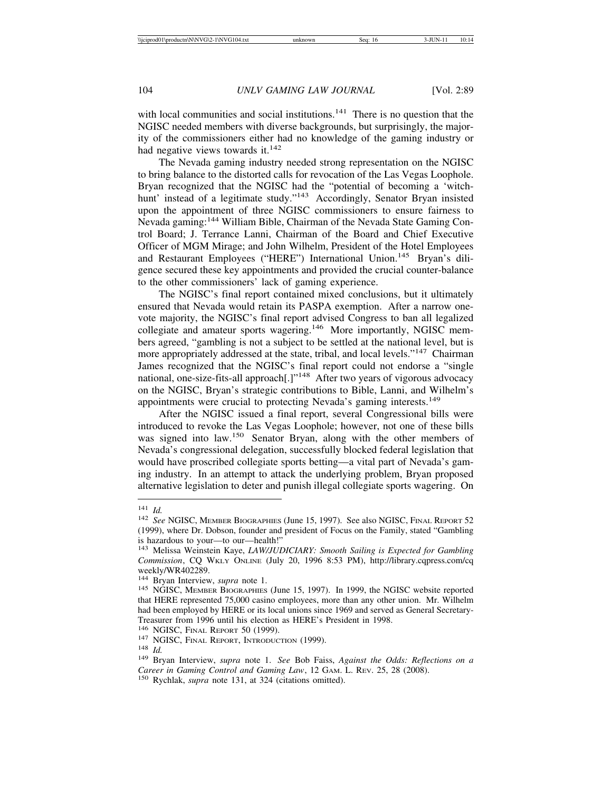with local communities and social institutions.<sup>141</sup> There is no question that the NGISC needed members with diverse backgrounds, but surprisingly, the majority of the commissioners either had no knowledge of the gaming industry or had negative views towards it.<sup>142</sup>

The Nevada gaming industry needed strong representation on the NGISC to bring balance to the distorted calls for revocation of the Las Vegas Loophole. Bryan recognized that the NGISC had the "potential of becoming a 'witchhunt' instead of a legitimate study."<sup>143</sup> Accordingly, Senator Bryan insisted upon the appointment of three NGISC commissioners to ensure fairness to Nevada gaming:144 William Bible, Chairman of the Nevada State Gaming Control Board; J. Terrance Lanni, Chairman of the Board and Chief Executive Officer of MGM Mirage; and John Wilhelm, President of the Hotel Employees and Restaurant Employees ("HERE") International Union.<sup>145</sup> Bryan's diligence secured these key appointments and provided the crucial counter-balance to the other commissioners' lack of gaming experience.

The NGISC's final report contained mixed conclusions, but it ultimately ensured that Nevada would retain its PASPA exemption. After a narrow onevote majority, the NGISC's final report advised Congress to ban all legalized collegiate and amateur sports wagering.<sup>146</sup> More importantly, NGISC members agreed, "gambling is not a subject to be settled at the national level, but is more appropriately addressed at the state, tribal, and local levels."<sup>147</sup> Chairman James recognized that the NGISC's final report could not endorse a "single national, one-size-fits-all approach<sup>[1]"148</sup> After two years of vigorous advocacy on the NGISC, Bryan's strategic contributions to Bible, Lanni, and Wilhelm's appointments were crucial to protecting Nevada's gaming interests.<sup>149</sup>

After the NGISC issued a final report, several Congressional bills were introduced to revoke the Las Vegas Loophole; however, not one of these bills was signed into law.150 Senator Bryan, along with the other members of Nevada's congressional delegation, successfully blocked federal legislation that would have proscribed collegiate sports betting—a vital part of Nevada's gaming industry. In an attempt to attack the underlying problem, Bryan proposed alternative legislation to deter and punish illegal collegiate sports wagering. On

<sup>141</sup> *Id.* <sup>142</sup> *See* NGISC, MEMBER BIOGRAPHIES (June 15, 1997). See also NGISC, FINAL REPORT 52 (1999), where Dr. Dobson, founder and president of Focus on the Family, stated "Gambling is hazardous to your—to our—health!"

<sup>143</sup> Melissa Weinstein Kaye, *LAW/JUDICIARY: Smooth Sailing is Expected for Gambling Commission*, CQ WKLY ONLINE (July 20, 1996 8:53 PM), http://library.cqpress.com/cq weekly/WR402289.<br><sup>144</sup> Bryan Interview, *supra* note 1.

<sup>145</sup> NGISC, MEMBER BIOGRAPHIES (June 15, 1997). In 1999, the NGISC website reported that HERE represented 75,000 casino employees, more than any other union. Mr. Wilhelm had been employed by HERE or its local unions since 1969 and served as General Secretary-Treasurer from 1996 until his election as HERE's President in 1998.

<sup>147</sup> NGISC, FINAL REPORT, INTRODUCTION (1999).<br><sup>148</sup> *Id.* 149 Bryan Interview, *supra* note 1. *See* Bob Faiss, *Against the Odds: Reflections on a Career in Gaming Control and Gaming Law*, 12 GAM. L. REV. 25, 28 (2008). <sup>150</sup> Rychlak, *supra* note 131, at 324 (citations omitted).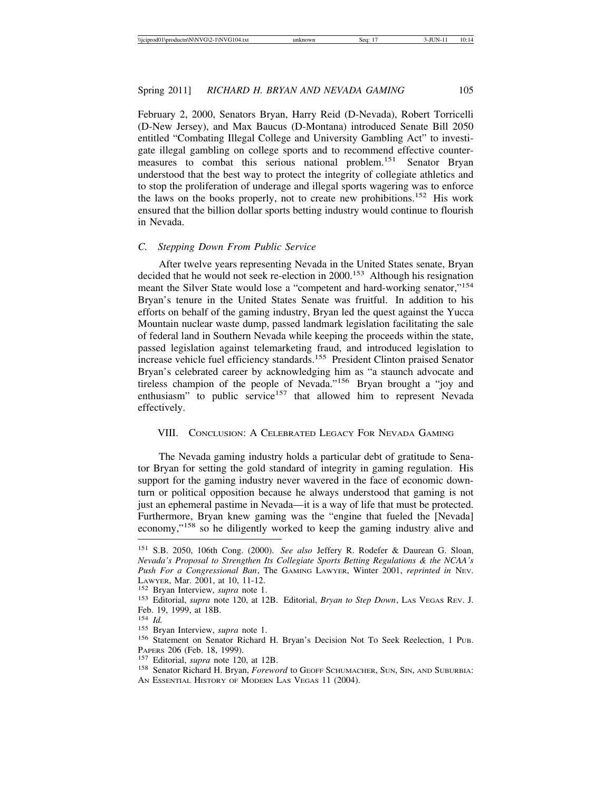February 2, 2000, Senators Bryan, Harry Reid (D-Nevada), Robert Torricelli (D-New Jersey), and Max Baucus (D-Montana) introduced Senate Bill 2050 entitled "Combating Illegal College and University Gambling Act" to investigate illegal gambling on college sports and to recommend effective countermeasures to combat this serious national problem.151 Senator Bryan understood that the best way to protect the integrity of collegiate athletics and to stop the proliferation of underage and illegal sports wagering was to enforce the laws on the books properly, not to create new prohibitions.<sup>152</sup> His work ensured that the billion dollar sports betting industry would continue to flourish in Nevada.

#### *C. Stepping Down From Public Service*

After twelve years representing Nevada in the United States senate, Bryan decided that he would not seek re-election in 2000.<sup>153</sup> Although his resignation meant the Silver State would lose a "competent and hard-working senator,"<sup>154</sup> Bryan's tenure in the United States Senate was fruitful. In addition to his efforts on behalf of the gaming industry, Bryan led the quest against the Yucca Mountain nuclear waste dump, passed landmark legislation facilitating the sale of federal land in Southern Nevada while keeping the proceeds within the state, passed legislation against telemarketing fraud, and introduced legislation to increase vehicle fuel efficiency standards.<sup>155</sup> President Clinton praised Senator Bryan's celebrated career by acknowledging him as "a staunch advocate and tireless champion of the people of Nevada."156 Bryan brought a "joy and enthusiasm" to public service<sup>157</sup> that allowed him to represent Nevada effectively.

#### VIII. CONCLUSION: A CELEBRATED LEGACY FOR NEVADA GAMING

The Nevada gaming industry holds a particular debt of gratitude to Senator Bryan for setting the gold standard of integrity in gaming regulation. His support for the gaming industry never wavered in the face of economic downturn or political opposition because he always understood that gaming is not just an ephemeral pastime in Nevada—it is a way of life that must be protected. Furthermore, Bryan knew gaming was the "engine that fueled the [Nevada] economy,"158 so he diligently worked to keep the gaming industry alive and

<sup>151</sup> S.B. 2050, 106th Cong. (2000). *See also* Jeffery R. Rodefer & Daurean G. Sloan, *Nevada's Proposal to Strengthen Its Collegiate Sports Betting Regulations & the NCAA's Push For a Congressional Ban*, The GAMING LAWYER, Winter 2001, *reprinted in* NEV.

<sup>&</sup>lt;sup>152</sup> Bryan Interview, *supra* note 1.<br><sup>153</sup> Editorial, *supra* note 120, at 12B. Editorial, *Bryan to Step Down*, LAS VEGAS REV. J. Feb. 19, 1999, at 18B.<br><sup>154</sup> *Id*.

<sup>&</sup>lt;sup>155</sup> Bryan Interview, *supra* note 1.<br><sup>156</sup> Statement on Senator Richard H. Bryan's Decision Not To Seek Reelection, 1 Pub. PAPERS 206 (Feb. 18, 1999).<br><sup>157</sup> Editorial, *supra* note 120, at 12B.<br><sup>158</sup> Senator Richard H. Bryan, *Foreword* to Geoff Schumacher, Sun, Sin, and Suburbia:

AN ESSENTIAL HISTORY OF MODERN LAS VEGAS 11 (2004).